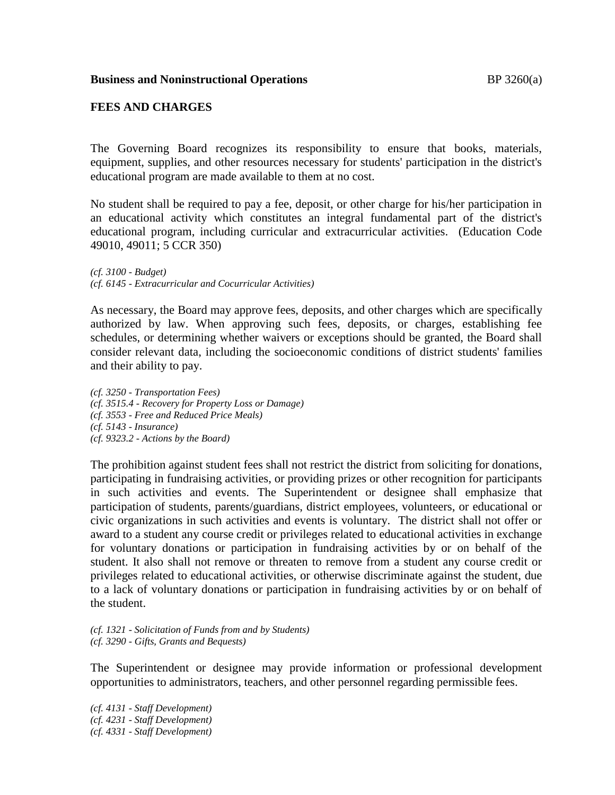### **FEES AND CHARGES**

The Governing Board recognizes its responsibility to ensure that books, materials, equipment, supplies, and other resources necessary for students' participation in the district's educational program are made available to them at no cost.

No student shall be required to pay a fee, deposit, or other charge for his/her participation in an educational activity which constitutes an integral fundamental part of the district's educational program, including curricular and extracurricular activities. (Education Code 49010, 49011; 5 CCR 350)

*(cf. 3100 - Budget) (cf. 6145 - Extracurricular and Cocurricular Activities)*

As necessary, the Board may approve fees, deposits, and other charges which are specifically authorized by law. When approving such fees, deposits, or charges, establishing fee schedules, or determining whether waivers or exceptions should be granted, the Board shall consider relevant data, including the socioeconomic conditions of district students' families and their ability to pay.

*(cf. 3250 - Transportation Fees) (cf. 3515.4 - Recovery for Property Loss or Damage) (cf. 3553 - Free and Reduced Price Meals) (cf. 5143 - Insurance) (cf. 9323.2 - Actions by the Board)*

The prohibition against student fees shall not restrict the district from soliciting for donations, participating in fundraising activities, or providing prizes or other recognition for participants in such activities and events. The Superintendent or designee shall emphasize that participation of students, parents/guardians, district employees, volunteers, or educational or civic organizations in such activities and events is voluntary. The district shall not offer or award to a student any course credit or privileges related to educational activities in exchange for voluntary donations or participation in fundraising activities by or on behalf of the student. It also shall not remove or threaten to remove from a student any course credit or privileges related to educational activities, or otherwise discriminate against the student, due to a lack of voluntary donations or participation in fundraising activities by or on behalf of the student.

*(cf. 1321 - Solicitation of Funds from and by Students) (cf. 3290 - Gifts, Grants and Bequests)*

The Superintendent or designee may provide information or professional development opportunities to administrators, teachers, and other personnel regarding permissible fees.

*(cf. 4131 - Staff Development) (cf. 4231 - Staff Development) (cf. 4331 - Staff Development)*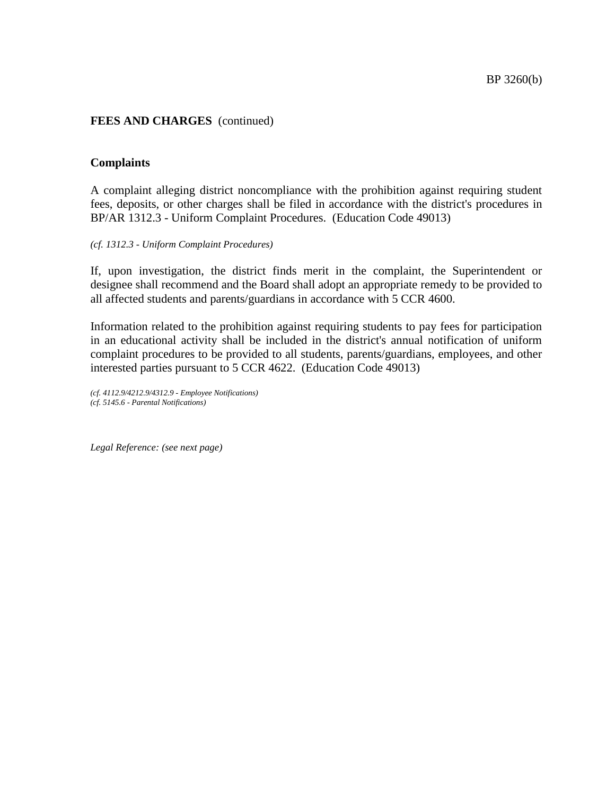### **Complaints**

A complaint alleging district noncompliance with the prohibition against requiring student fees, deposits, or other charges shall be filed in accordance with the district's procedures in BP/AR 1312.3 - Uniform Complaint Procedures. (Education Code 49013)

### *(cf. 1312.3 - Uniform Complaint Procedures)*

If, upon investigation, the district finds merit in the complaint, the Superintendent or designee shall recommend and the Board shall adopt an appropriate remedy to be provided to all affected students and parents/guardians in accordance with 5 CCR 4600.

Information related to the prohibition against requiring students to pay fees for participation in an educational activity shall be included in the district's annual notification of uniform complaint procedures to be provided to all students, parents/guardians, employees, and other interested parties pursuant to 5 CCR 4622. (Education Code 49013)

*(cf. 4112.9/4212.9/4312.9 - Employee Notifications) (cf. 5145.6 - Parental Notifications)*

*Legal Reference: (see next page)*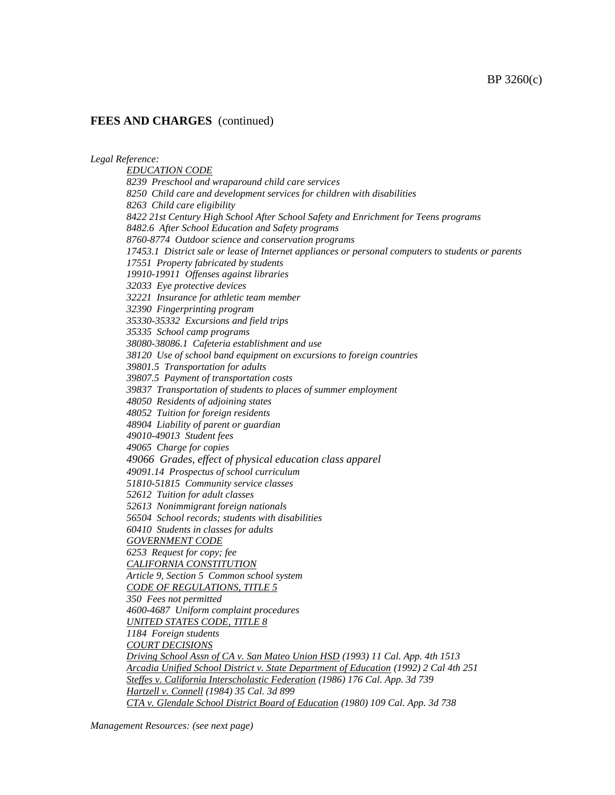*Legal Reference:*

*EDUCATION CODE 8239 Preschool and wraparound child care services 8250 Child care and development services for children with disabilities 8263 Child care eligibility 8422 21st Century High School After School Safety and Enrichment for Teens programs 8482.6 After School Education and Safety programs 8760-8774 Outdoor science and conservation programs 17453.1 District sale or lease of Internet appliances or personal computers to students or parents 17551 Property fabricated by students 19910-19911 Offenses against libraries 32033 Eye protective devices 32221 Insurance for athletic team member 32390 Fingerprinting program 35330-35332 Excursions and field trips 35335 School camp programs 38080-38086.1 Cafeteria establishment and use 38120 Use of school band equipment on excursions to foreign countries 39801.5 Transportation for adults 39807.5 Payment of transportation costs 39837 Transportation of students to places of summer employment 48050 Residents of adjoining states 48052 Tuition for foreign residents 48904 Liability of parent or guardian 49010-49013 Student fees 49065 Charge for copies 49066 Grades, effect of physical education class apparel 49091.14 Prospectus of school curriculum 51810-51815 Community service classes 52612 Tuition for adult classes 52613 Nonimmigrant foreign nationals 56504 School records; students with disabilities 60410 Students in classes for adults GOVERNMENT CODE 6253 Request for copy; fee CALIFORNIA CONSTITUTION Article 9, Section 5 Common school system CODE OF REGULATIONS, TITLE 5 350 Fees not permitted 4600-4687 Uniform complaint procedures UNITED STATES CODE, TITLE 8 1184 Foreign students COURT DECISIONS Driving School Assn of CA v. San Mateo Union HSD (1993) 11 Cal. App. 4th 1513 Arcadia Unified School District v. State Department of Education (1992) 2 Cal 4th 251 Steffes v. California Interscholastic Federation (1986) 176 Cal. App. 3d 739 Hartzell v. Connell (1984) 35 Cal. 3d 899 CTA v. Glendale School District Board of Education (1980) 109 Cal. App. 3d 738*

*Management Resources: (see next page)*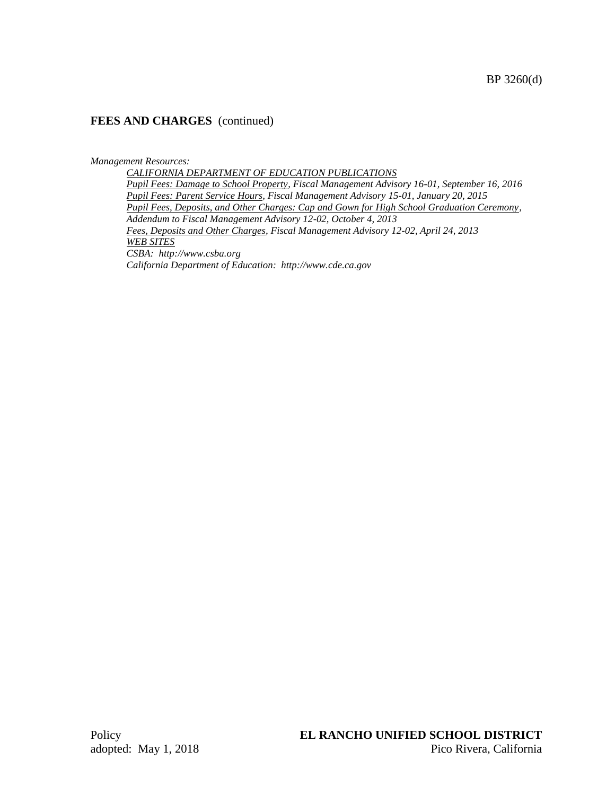#### *Management Resources:*

*CALIFORNIA DEPARTMENT OF EDUCATION PUBLICATIONS Pupil Fees: Damage to School Property, Fiscal Management Advisory 16-01, September 16, 2016 Pupil Fees: Parent Service Hours, Fiscal Management Advisory 15-01, January 20, 2015 Pupil Fees, Deposits, and Other Charges: Cap and Gown for High School Graduation Ceremony, Addendum to Fiscal Management Advisory 12-02, October 4, 2013 Fees, Deposits and Other Charges, Fiscal Management Advisory 12-02, April 24, 2013 WEB SITES CSBA: http://www.csba.org California Department of Education: http://www.cde.ca.gov*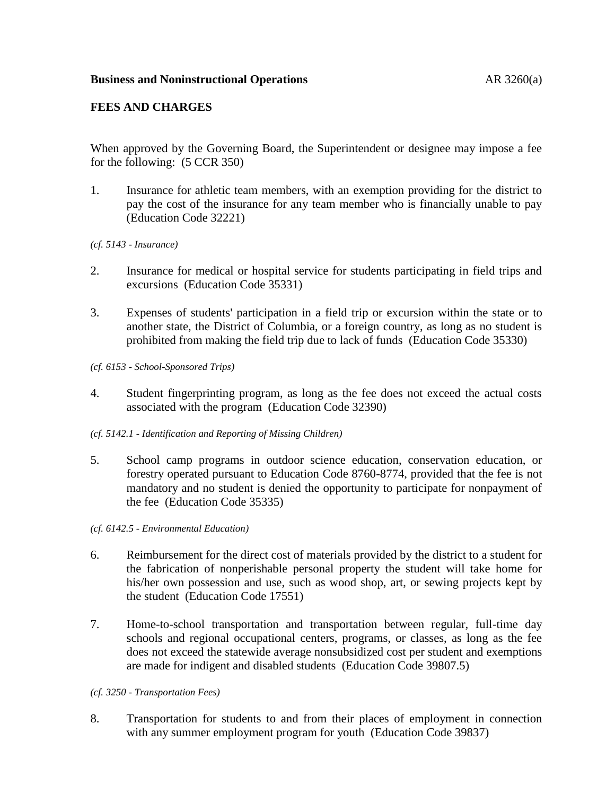# **FEES AND CHARGES**

When approved by the Governing Board, the Superintendent or designee may impose a fee for the following: (5 CCR 350)

- 1. Insurance for athletic team members, with an exemption providing for the district to pay the cost of the insurance for any team member who is financially unable to pay (Education Code 32221)
- *(cf. 5143 - Insurance)*
- 2. Insurance for medical or hospital service for students participating in field trips and excursions (Education Code 35331)
- 3. Expenses of students' participation in a field trip or excursion within the state or to another state, the District of Columbia, or a foreign country, as long as no student is prohibited from making the field trip due to lack of funds (Education Code 35330)
- *(cf. 6153 - School-Sponsored Trips)*
- 4. Student fingerprinting program, as long as the fee does not exceed the actual costs associated with the program (Education Code 32390)
- *(cf. 5142.1 - Identification and Reporting of Missing Children)*
- 5. School camp programs in outdoor science education, conservation education, or forestry operated pursuant to Education Code 8760-8774, provided that the fee is not mandatory and no student is denied the opportunity to participate for nonpayment of the fee (Education Code 35335)
- *(cf. 6142.5 - Environmental Education)*
- 6. Reimbursement for the direct cost of materials provided by the district to a student for the fabrication of nonperishable personal property the student will take home for his/her own possession and use, such as wood shop, art, or sewing projects kept by the student (Education Code 17551)
- 7. Home-to-school transportation and transportation between regular, full-time day schools and regional occupational centers, programs, or classes, as long as the fee does not exceed the statewide average nonsubsidized cost per student and exemptions are made for indigent and disabled students (Education Code 39807.5)
- *(cf. 3250 - Transportation Fees)*
- 8. Transportation for students to and from their places of employment in connection with any summer employment program for youth (Education Code 39837)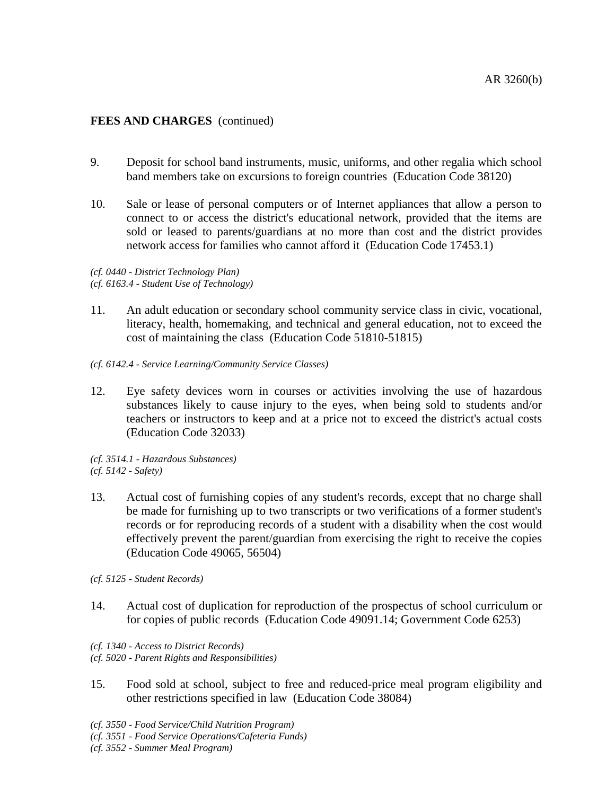- 9. Deposit for school band instruments, music, uniforms, and other regalia which school band members take on excursions to foreign countries (Education Code 38120)
- 10. Sale or lease of personal computers or of Internet appliances that allow a person to connect to or access the district's educational network, provided that the items are sold or leased to parents/guardians at no more than cost and the district provides network access for families who cannot afford it (Education Code 17453.1)

*(cf. 0440 - District Technology Plan) (cf. 6163.4 - Student Use of Technology)*

- 11. An adult education or secondary school community service class in civic, vocational, literacy, health, homemaking, and technical and general education, not to exceed the cost of maintaining the class (Education Code 51810-51815)
- *(cf. 6142.4 - Service Learning/Community Service Classes)*
- 12. Eye safety devices worn in courses or activities involving the use of hazardous substances likely to cause injury to the eyes, when being sold to students and/or teachers or instructors to keep and at a price not to exceed the district's actual costs (Education Code 32033)

*(cf. 3514.1 - Hazardous Substances) (cf. 5142 - Safety)*

13. Actual cost of furnishing copies of any student's records, except that no charge shall be made for furnishing up to two transcripts or two verifications of a former student's records or for reproducing records of a student with a disability when the cost would effectively prevent the parent/guardian from exercising the right to receive the copies (Education Code 49065, 56504)

*(cf. 5125 - Student Records)*

- 14. Actual cost of duplication for reproduction of the prospectus of school curriculum or for copies of public records (Education Code 49091.14; Government Code 6253)
- *(cf. 1340 - Access to District Records)*

*(cf. 5020 - Parent Rights and Responsibilities)*

15. Food sold at school, subject to free and reduced-price meal program eligibility and other restrictions specified in law (Education Code 38084)

*(cf. 3550 - Food Service/Child Nutrition Program)*

- *(cf. 3551 - Food Service Operations/Cafeteria Funds)*
- *(cf. 3552 - Summer Meal Program)*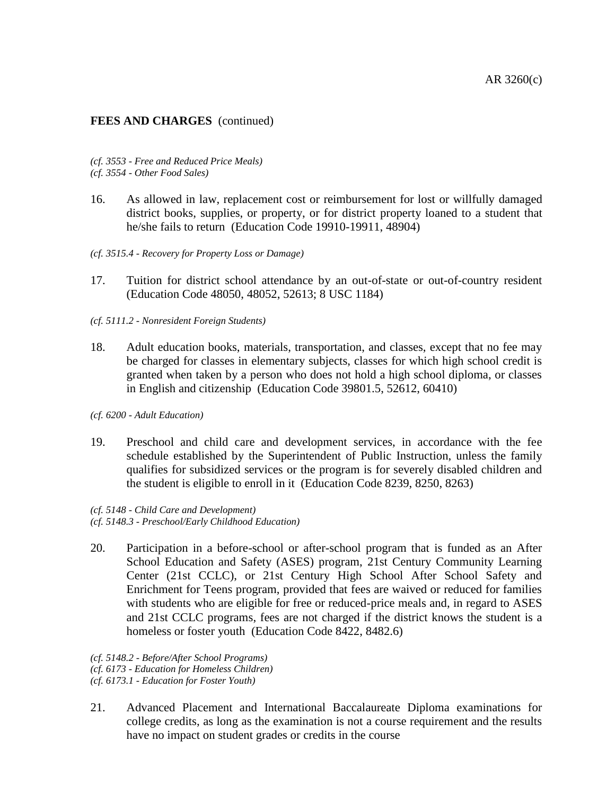*(cf. 3553 - Free and Reduced Price Meals) (cf. 3554 - Other Food Sales)*

- 16. As allowed in law, replacement cost or reimbursement for lost or willfully damaged district books, supplies, or property, or for district property loaned to a student that he/she fails to return (Education Code 19910-19911, 48904)
- *(cf. 3515.4 - Recovery for Property Loss or Damage)*
- 17. Tuition for district school attendance by an out-of-state or out-of-country resident (Education Code 48050, 48052, 52613; 8 USC 1184)
- *(cf. 5111.2 - Nonresident Foreign Students)*
- 18. Adult education books, materials, transportation, and classes, except that no fee may be charged for classes in elementary subjects, classes for which high school credit is granted when taken by a person who does not hold a high school diploma, or classes in English and citizenship (Education Code 39801.5, 52612, 60410)

*(cf. 6200 - Adult Education)*

- 19. Preschool and child care and development services, in accordance with the fee schedule established by the Superintendent of Public Instruction, unless the family qualifies for subsidized services or the program is for severely disabled children and the student is eligible to enroll in it (Education Code 8239, 8250, 8263)
- *(cf. 5148 - Child Care and Development) (cf. 5148.3 - Preschool/Early Childhood Education)*
- 20. Participation in a before-school or after-school program that is funded as an After School Education and Safety (ASES) program, 21st Century Community Learning Center (21st CCLC), or 21st Century High School After School Safety and Enrichment for Teens program, provided that fees are waived or reduced for families with students who are eligible for free or reduced-price meals and, in regard to ASES and 21st CCLC programs, fees are not charged if the district knows the student is a homeless or foster youth (Education Code 8422, 8482.6)

*(cf. 5148.2 - Before/After School Programs) (cf. 6173 - Education for Homeless Children) (cf. 6173.1 - Education for Foster Youth)*

21. Advanced Placement and International Baccalaureate Diploma examinations for college credits, as long as the examination is not a course requirement and the results have no impact on student grades or credits in the course